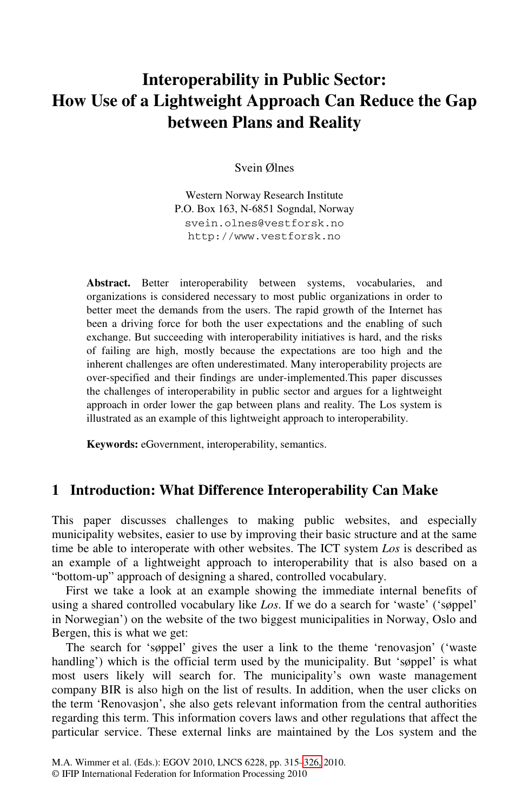# **Interoperability in Public Sector: How Use of a Lightweight Approach Can Reduce the Gap between Plans and Reality**

Svein Ølnes

Western Norway Research Institute P.O. Box 163, N-6851 Sogndal, Norway svein.olnes@vestforsk.no http://www.vestforsk.no

**Abstract.** Better interoperability between systems, vocabularies, and organizations is considered necessary to most public organizations in order to better meet the demands from the users. The rapid growth of the Internet has been a driving force for both the user expectations and the enabling of such exchange. But succeeding with interoperability initiatives is hard, and the risks of failing are high, mostly because the expectations are too high and the inherent challenges are often underestimated. Many interoperability projects are over-specified and their findings are under-implemented.This paper discusses the challenges of interoperability in public sector and argues for a lightweight approach in order lower the gap between plans and reality. The Los system is illustrated as an example of this lightweight approach to interoperability.

**Keywords:** eGovernment, interoperability, semantics.

# **1 Introduction: What Difference Interoperability Can Make**

This paper discusses challenges to making public websites, and especially municipality websites, easier to use by improving their basic structure and at the same time be able to interoperate with other websites. The ICT system *Los* is described as an example of a lightweight approach to interoperability that is also based on a "bottom-up" approach of designing a shared, controlled vocabulary.

First we take a look at an example showing the immediate internal benefits of using a shared controlled vocabulary like *Los*. If we do a search for 'waste' ('søppel' in Norwegian') on the website of the two biggest municipalities in Norway, Oslo and Bergen, this is what we get:

The search for 'søppel' g[ives](#page-11-0) the user a link to the theme 'renovasjon' ('waste handling') which is the official term used by the municipality. But 'søppel' is what most users likely will search for. The municipality's own waste management company BIR is also high on the list of results. In addition, when the user clicks on the term 'Renovasjon', she also gets relevant information from the central authorities regarding this term. This information covers laws and other regulations that affect the particular service. These external links are maintained by the Los system and the

© IFIP International Federation for Information Processing 2010

M.A. Wimmer et al. (Eds.): EGOV 2010, LNCS 6228, pp. 315–326, 2010.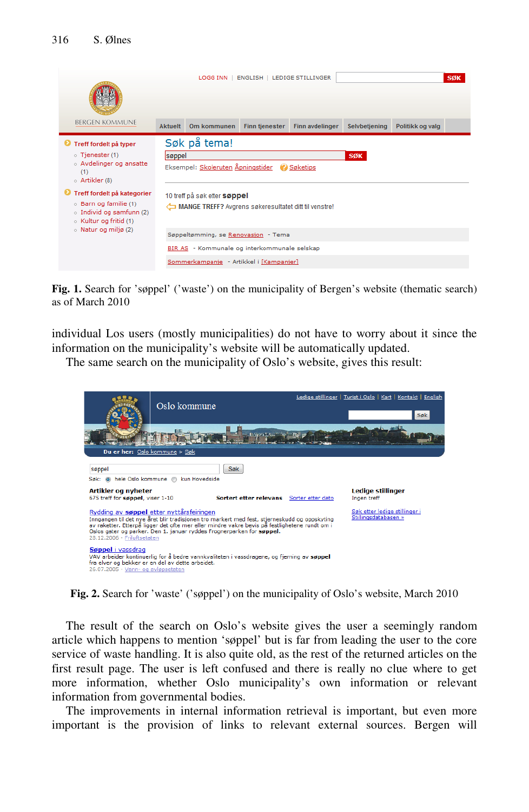|                                                                                                                                                                                                                                           | LOGG INN   ENGLISH   LEDIGE STILLINGER<br><b>SØK</b>                                                                                                                          |             |                       |                        |               |                  |  |
|-------------------------------------------------------------------------------------------------------------------------------------------------------------------------------------------------------------------------------------------|-------------------------------------------------------------------------------------------------------------------------------------------------------------------------------|-------------|-----------------------|------------------------|---------------|------------------|--|
| <b>BERGEN KOMMUNE</b>                                                                                                                                                                                                                     | <b>Aktuelt</b>                                                                                                                                                                | Om kommunen | <b>Finn tjenester</b> | <b>Finn avdelinger</b> | Selvbetjening | Politikk og valg |  |
| Treff fordelt på typer<br>o Tienester (1)<br>o Avdelinger og ansatte<br>(1)<br>o Artikler (8)<br>Treff fordelt på kategorier<br>o Barn og familie (1)<br>o Individ og samfunn (2)<br>o Kultur og fritid (1)<br>$\circ$ Natur og miljø (2) | Søk på tema!<br>søppel<br><b>SØK</b><br>Eksempel: Skoleruten Åpningstider & Søketips<br>10 treff på søk etter søppel<br>MANGE TREFF? Avgrens søkeresultatet ditt til venstre! |             |                       |                        |               |                  |  |
|                                                                                                                                                                                                                                           | Søppeltømming, se Renovasjon - Tema<br>BIR AS - Kommunale og interkommunale selskap<br>Sommerkampanje - Artikkel i [Kampanjer]                                                |             |                       |                        |               |                  |  |

**Fig. 1.** Search for 'søppel' ('waste') on the municipality of Bergen's website (thematic search) as of March 2010

individual Los users (mostly municipalities) do not have to worry about it since the information on the municipality's website will be automatically updated.

The same search on the municipality of Oslo's website, gives this result:

|                                                                                                                                                                                                                                                                                                                                                                                                            | Oslo kommune                                                                                                                                  |  | Ledige stillinger   Turist i Oslo   Kart   Kontakt   English<br>Søk |  |  |
|------------------------------------------------------------------------------------------------------------------------------------------------------------------------------------------------------------------------------------------------------------------------------------------------------------------------------------------------------------------------------------------------------------|-----------------------------------------------------------------------------------------------------------------------------------------------|--|---------------------------------------------------------------------|--|--|
|                                                                                                                                                                                                                                                                                                                                                                                                            |                                                                                                                                               |  |                                                                     |  |  |
| Du er her: Oslo kommune > Søk                                                                                                                                                                                                                                                                                                                                                                              |                                                                                                                                               |  |                                                                     |  |  |
| søppel                                                                                                                                                                                                                                                                                                                                                                                                     | <b>Søk</b><br>Søk: @ hele Oslo kommune @ kun Hovedside                                                                                        |  |                                                                     |  |  |
| <b>Artikler og nyheter</b><br>675 treff for søppel, viser 1-10<br>Sortert etter relevans Sorter etter dato                                                                                                                                                                                                                                                                                                 |                                                                                                                                               |  | Ledige stillinger<br>Ingen treff                                    |  |  |
| Søk etter ledige stillinger i<br>Rydding av søppel etter nyttårsfeiringen<br>Stillingsdatabasen »<br>Inngangen til det nye året blir tradisjonen tro markert med fest, stjerneskudd og oppskyting<br>av raketter. Etterpå ligger det ofte mer eller mindre vakre bevis på festlighetene rundt om i<br>Oslos gater og parker. Den 1. januar ryddes Frognerparken for søppel.<br>28.12.2006 - Friluftsetaten |                                                                                                                                               |  |                                                                     |  |  |
| Søppel i vassdrag<br>26.07.2005 - Vann- og avløpsetaten                                                                                                                                                                                                                                                                                                                                                    | VAV arbeider kontinuerlig for å bedre vannkvaliteten i vassdragene, og fjerning av søppel<br>fra elver og bekker er en del av dette arbeidet. |  |                                                                     |  |  |

**Fig. 2.** Search for 'waste' ('søppel') on the municipality of Oslo's website, March 2010

The result of the search on Oslo's website gives the user a seemingly random article which happens to mention 'søppel' but is far from leading the user to the core service of waste handling. It is also quite old, as the rest of the returned articles on the first result page. The user is left confused and there is really no clue where to get more information, whether Oslo municipality's own information or relevant information from governmental bodies.

The improvements in internal information retrieval is important, but even more important is the provision of links to relevant external sources. Bergen will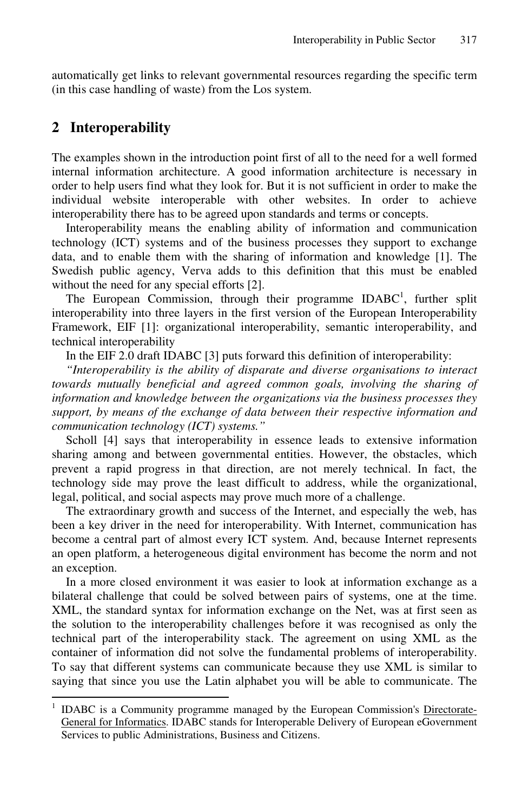automatically get links to relevant governmental resources regarding the specific term (in this case handling of waste) from the Los system.

## **2 Interoperability**

j

The examples shown in the introduction point first of all to the need for a well formed internal information architecture. A good information architecture is necessary in order to help users find what they look for. But it is not sufficient in order to make the individual website interoperable with other websites. In order to achieve interoperability there has to be agreed upon standards and terms or concepts.

Interoperability means the enabling ability of information and communication technology (ICT) systems and of the business processes they support to exchange data, and to enable them with the sharing of information and knowledge [1]. The Swedish public agency, Verva adds to this definition that this must be enabled without the need for any special efforts [2].

The European Commission, through their programme  $IDABC<sup>1</sup>$ , further split interoperability into three layers in the first version of the European Interoperability Framework, EIF [1]: organizational interoperability, semantic interoperability, and technical interoperability

In the EIF 2.0 draft IDABC [3] puts forward this definition of interoperability:

*"Interoperability is the ability of disparate and diverse organisations to interact towards mutually beneficial and agreed common goals, involving the sharing of information and knowledge between the organizations via the business processes they support, by means of the exchange of data between their respective information and communication technology (ICT) systems."* 

Scholl [4] says that interoperability in essence leads to extensive information sharing among and between governmental entities. However, the obstacles, which prevent a rapid progress in that direction, are not merely technical. In fact, the technology side may prove the least difficult to address, while the organizational, legal, political, and social aspects may prove much more of a challenge.

The extraordinary growth and success of the Internet, and especially the web, has been a key driver in the need for interoperability. With Internet, communication has become a central part of almost every ICT system. And, because Internet represents an open platform, a heterogeneous digital environment has become the norm and not an exception.

In a more closed environment it was easier to look at information exchange as a bilateral challenge that could be solved between pairs of systems, one at the time. XML, the standard syntax for information exchange on the Net, was at first seen as the solution to the interoperability challenges before it was recognised as only the technical part of the interoperability stack. The agreement on using XML as the container of information did not solve the fundamental problems of interoperability. To say that different systems can communicate because they use XML is similar to saying that since you use the Latin alphabet you will be able to communicate. The

<sup>&</sup>lt;sup>1</sup> IDABC is a Community programme managed by the European Commission's Directorate-General for Informatics. IDABC stands for Interoperable Delivery of European eGovernment Services to public Administrations, Business and Citizens.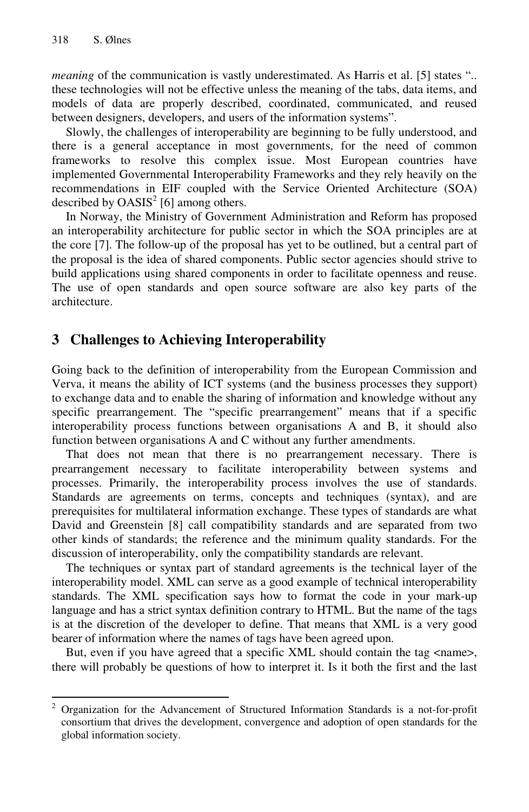j

*meaning* of the communication is vastly underestimated. As Harris et al. [5] states "... these technologies will not be effective unless the meaning of the tabs, data items, and models of data are properly described, coordinated, communicated, and reused between designers, developers, and users of the information systems".

Slowly, the challenges of interoperability are beginning to be fully understood, and there is a general acceptance in most governments, for the need of common frameworks to resolve this complex issue. Most European countries have implemented Governmental Interoperability Frameworks and they rely heavily on the recommendations in EIF coupled with the Service Oriented Architecture (SOA) described by  $OASIS<sup>2</sup>$  [6] among others.

In Norway, the Ministry of Government Administration and Reform has proposed an interoperability architecture for public sector in which the SOA principles are at the core [7]. The follow-up of the proposal has yet to be outlined, but a central part of the proposal is the idea of shared components. Public sector agencies should strive to build applications using shared components in order to facilitate openness and reuse. The use of open standards and open source software are also key parts of the architecture.

# **3 Challenges to Achieving Interoperability**

Going back to the definition of interoperability from the European Commission and Verva, it means the ability of ICT systems (and the business processes they support) to exchange data and to enable the sharing of information and knowledge without any specific prearrangement. The "specific prearrangement" means that if a specific interoperability process functions between organisations A and B, it should also function between organisations A and C without any further amendments.

That does not mean that there is no prearrangement necessary. There is prearrangement necessary to facilitate interoperability between systems and processes. Primarily, the interoperability process involves the use of standards. Standards are agreements on terms, concepts and techniques (syntax), and are prerequisites for multilateral information exchange. These types of standards are what David and Greenstein [8] call compatibility standards and are separated from two other kinds of standards; the reference and the minimum quality standards. For the discussion of interoperability, only the compatibility standards are relevant.

The techniques or syntax part of standard agreements is the technical layer of the interoperability model. XML can serve as a good example of technical interoperability standards. The XML specification says how to format the code in your mark-up language and has a strict syntax definition contrary to HTML. But the name of the tags is at the discretion of the developer to define. That means that XML is a very good bearer of information where the names of tags have been agreed upon.

But, even if you have agreed that a specific XML should contain the tag <name>, there will probably be questions of how to interpret it. Is it both the first and the last

<sup>2</sup> Organization for the Advancement of Structured Information Standards is a not-for-profit consortium that drives the development, convergence and adoption of open standards for the global information society.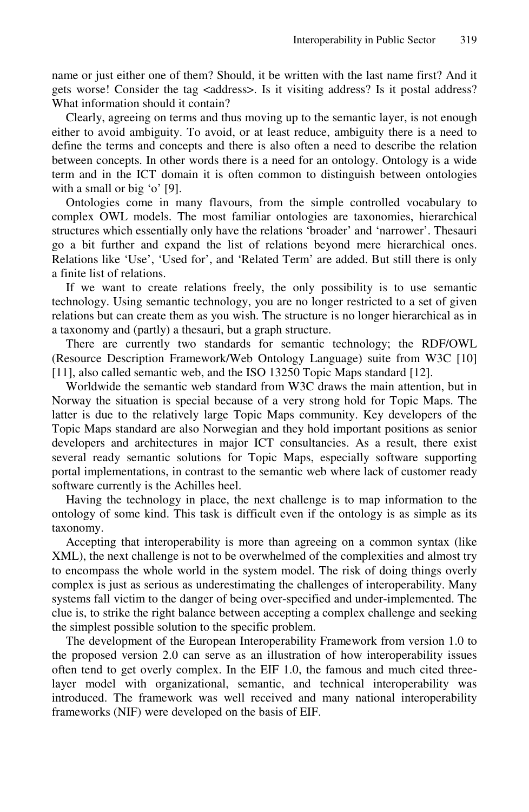name or just either one of them? Should, it be written with the last name first? And it gets worse! Consider the tag <address>. Is it visiting address? Is it postal address? What information should it contain?

Clearly, agreeing on terms and thus moving up to the semantic layer, is not enough either to avoid ambiguity. To avoid, or at least reduce, ambiguity there is a need to define the terms and concepts and there is also often a need to describe the relation between concepts. In other words there is a need for an ontology. Ontology is a wide term and in the ICT domain it is often common to distinguish between ontologies with a small or big 'o' [9].

Ontologies come in many flavours, from the simple controlled vocabulary to complex OWL models. The most familiar ontologies are taxonomies, hierarchical structures which essentially only have the relations 'broader' and 'narrower'. Thesauri go a bit further and expand the list of relations beyond mere hierarchical ones. Relations like 'Use', 'Used for', and 'Related Term' are added. But still there is only a finite list of relations.

If we want to create relations freely, the only possibility is to use semantic technology. Using semantic technology, you are no longer restricted to a set of given relations but can create them as you wish. The structure is no longer hierarchical as in a taxonomy and (partly) a thesauri, but a graph structure.

There are currently two standards for semantic technology; the RDF/OWL (Resource Description Framework/Web Ontology Language) suite from W3C [10] [11], also called semantic web, and the ISO 13250 Topic Maps standard [12].

Worldwide the semantic web standard from W3C draws the main attention, but in Norway the situation is special because of a very strong hold for Topic Maps. The latter is due to the relatively large Topic Maps community. Key developers of the Topic Maps standard are also Norwegian and they hold important positions as senior developers and architectures in major ICT consultancies. As a result, there exist several ready semantic solutions for Topic Maps, especially software supporting portal implementations, in contrast to the semantic web where lack of customer ready software currently is the Achilles heel.

Having the technology in place, the next challenge is to map information to the ontology of some kind. This task is difficult even if the ontology is as simple as its taxonomy.

Accepting that interoperability is more than agreeing on a common syntax (like XML), the next challenge is not to be overwhelmed of the complexities and almost try to encompass the whole world in the system model. The risk of doing things overly complex is just as serious as underestimating the challenges of interoperability. Many systems fall victim to the danger of being over-specified and under-implemented. The clue is, to strike the right balance between accepting a complex challenge and seeking the simplest possible solution to the specific problem.

The development of the European Interoperability Framework from version 1.0 to the proposed version 2.0 can serve as an illustration of how interoperability issues often tend to get overly complex. In the EIF 1.0, the famous and much cited threelayer model with organizational, semantic, and technical interoperability was introduced. The framework was well received and many national interoperability frameworks (NIF) were developed on the basis of EIF.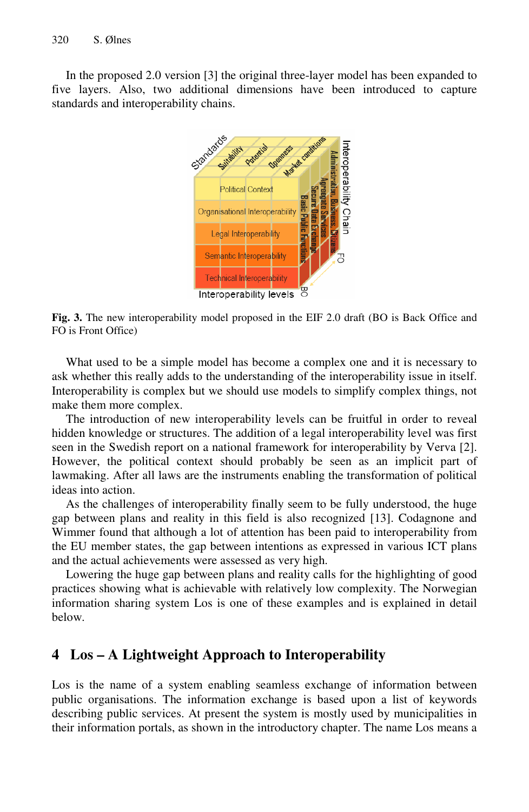In the proposed 2.0 version [3] the original three-layer model has been expanded to five layers. Also, two additional dimensions have been introduced to capture standards and interoperability chains.



**Fig. 3.** The new interoperability model proposed in the EIF 2.0 draft (BO is Back Office and FO is Front Office)

What used to be a simple model has become a complex one and it is necessary to ask whether this really adds to the understanding of the interoperability issue in itself. Interoperability is complex but we should use models to simplify complex things, not make them more complex.

The introduction of new interoperability levels can be fruitful in order to reveal hidden knowledge or structures. The addition of a legal interoperability level was first seen in the Swedish report on a national framework for interoperability by Verva [2]. However, the political context should probably be seen as an implicit part of lawmaking. After all laws are the instruments enabling the transformation of political ideas into action.

As the challenges of interoperability finally seem to be fully understood, the huge gap between plans and reality in this field is also recognized [13]. Codagnone and Wimmer found that although a lot of attention has been paid to interoperability from the EU member states, the gap between intentions as expressed in various ICT plans and the actual achievements were assessed as very high.

Lowering the huge gap between plans and reality calls for the highlighting of good practices showing what is achievable with relatively low complexity. The Norwegian information sharing system Los is one of these examples and is explained in detail below.

# **4 Los – A Lightweight Approach to Interoperability**

Los is the name of a system enabling seamless exchange of information between public organisations. The information exchange is based upon a list of keywords describing public services. At present the system is mostly used by municipalities in their information portals, as shown in the introductory chapter. The name Los means a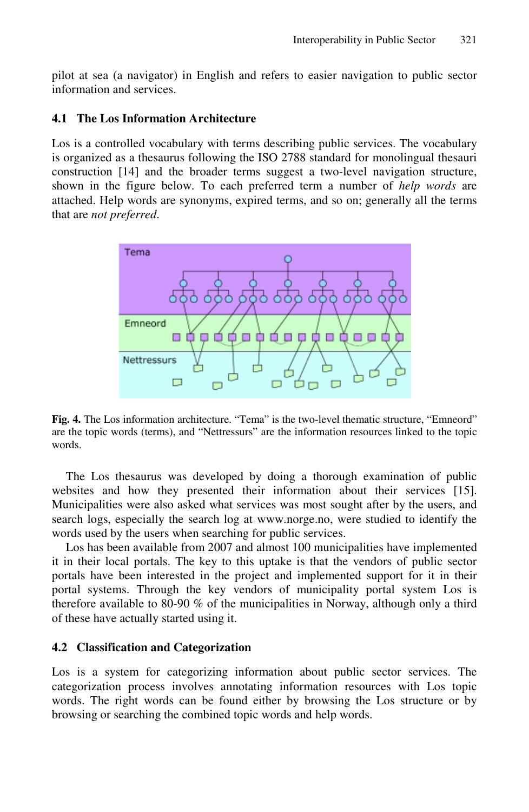pilot at sea (a navigator) in English and refers to easier navigation to public sector information and services.

#### **4.1 The Los Information Architecture**

Los is a controlled vocabulary with terms describing public services. The vocabulary is organized as a thesaurus following the ISO 2788 standard for monolingual thesauri construction [14] and the broader terms suggest a two-level navigation structure, shown in the figure below. To each preferred term a number of *help words* are attached. Help words are synonyms, expired terms, and so on; generally all the terms that are *not preferred*.



**Fig. 4.** The Los information architecture. "Tema" is the two-level thematic structure, "Emneord" are the topic words (terms), and "Nettressurs" are the information resources linked to the topic words.

The Los thesaurus was developed by doing a thorough examination of public websites and how they presented their information about their services [15]. Municipalities were also asked what services was most sought after by the users, and search logs, especially the search log at www.norge.no, were studied to identify the words used by the users when searching for public services.

Los has been available from 2007 and almost 100 municipalities have implemented it in their local portals. The key to this uptake is that the vendors of public sector portals have been interested in the project and implemented support for it in their portal systems. Through the key vendors of municipality portal system Los is therefore available to 80-90 % of the municipalities in Norway, although only a third of these have actually started using it.

#### **4.2 Classification and Categorization**

Los is a system for categorizing information about public sector services. The categorization process involves annotating information resources with Los topic words. The right words can be found either by browsing the Los structure or by browsing or searching the combined topic words and help words.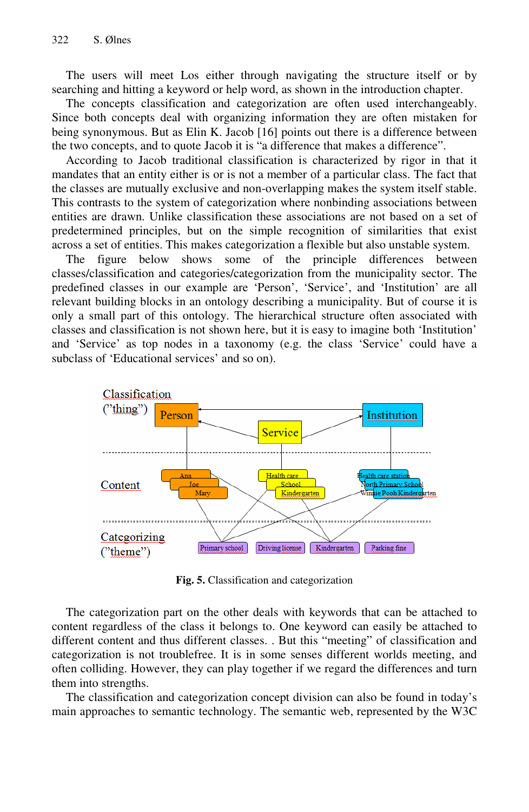The users will meet Los either through navigating the structure itself or by searching and hitting a keyword or help word, as shown in the introduction chapter.

The concepts classification and categorization are often used interchangeably. Since both concepts deal with organizing information they are often mistaken for being synonymous. But as Elin K. Jacob [16] points out there is a difference between the two concepts, and to quote Jacob it is "a difference that makes a difference".

According to Jacob traditional classification is characterized by rigor in that it mandates that an entity either is or is not a member of a particular class. The fact that the classes are mutually exclusive and non-overlapping makes the system itself stable. This contrasts to the system of categorization where nonbinding associations between entities are drawn. Unlike classification these associations are not based on a set of predetermined principles, but on the simple recognition of similarities that exist across a set of entities. This makes categorization a flexible but also unstable system.

The figure below shows some of the principle differences between classes/classification and categories/categorization from the municipality sector. The predefined classes in our example are 'Person', 'Service', and 'Institution' are all relevant building blocks in an ontology describing a municipality. But of course it is only a small part of this ontology. The hierarchical structure often associated with classes and classification is not shown here, but it is easy to imagine both 'Institution' and 'Service' as top nodes in a taxonomy (e.g. the class 'Service' could have a subclass of 'Educational services' and so on).



**Fig. 5.** Classification and categorization

The categorization part on the other deals with keywords that can be attached to content regardless of the class it belongs to. One keyword can easily be attached to different content and thus different classes. . But this "meeting" of classification and categorization is not troublefree. It is in some senses different worlds meeting, and often colliding. However, they can play together if we regard the differences and turn them into strengths.

The classification and categorization concept division can also be found in today's main approaches to semantic technology. The semantic web, represented by the W3C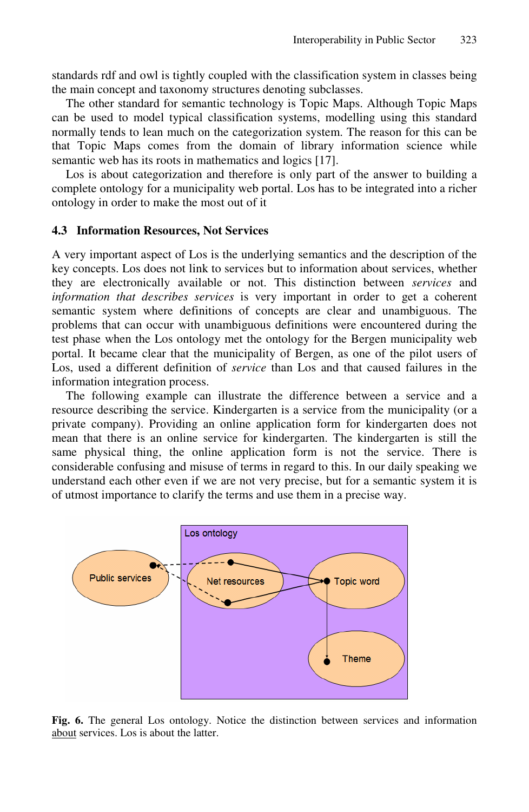standards rdf and owl is tightly coupled with the classification system in classes being the main concept and taxonomy structures denoting subclasses.

The other standard for semantic technology is Topic Maps. Although Topic Maps can be used to model typical classification systems, modelling using this standard normally tends to lean much on the categorization system. The reason for this can be that Topic Maps comes from the domain of library information science while semantic web has its roots in mathematics and logics [17].

Los is about categorization and therefore is only part of the answer to building a complete ontology for a municipality web portal. Los has to be integrated into a richer ontology in order to make the most out of it

#### **4.3 Information Resources, Not Services**

A very important aspect of Los is the underlying semantics and the description of the key concepts. Los does not link to services but to information about services, whether they are electronically available or not. This distinction between *services* and *information that describes services* is very important in order to get a coherent semantic system where definitions of concepts are clear and unambiguous. The problems that can occur with unambiguous definitions were encountered during the test phase when the Los ontology met the ontology for the Bergen municipality web portal. It became clear that the municipality of Bergen, as one of the pilot users of Los, used a different definition of *service* than Los and that caused failures in the information integration process.

The following example can illustrate the difference between a service and a resource describing the service. Kindergarten is a service from the municipality (or a private company). Providing an online application form for kindergarten does not mean that there is an online service for kindergarten. The kindergarten is still the same physical thing, the online application form is not the service. There is considerable confusing and misuse of terms in regard to this. In our daily speaking we understand each other even if we are not very precise, but for a semantic system it is of utmost importance to clarify the terms and use them in a precise way.



**Fig. 6.** The general Los ontology. Notice the distinction between services and information about services. Los is about the latter.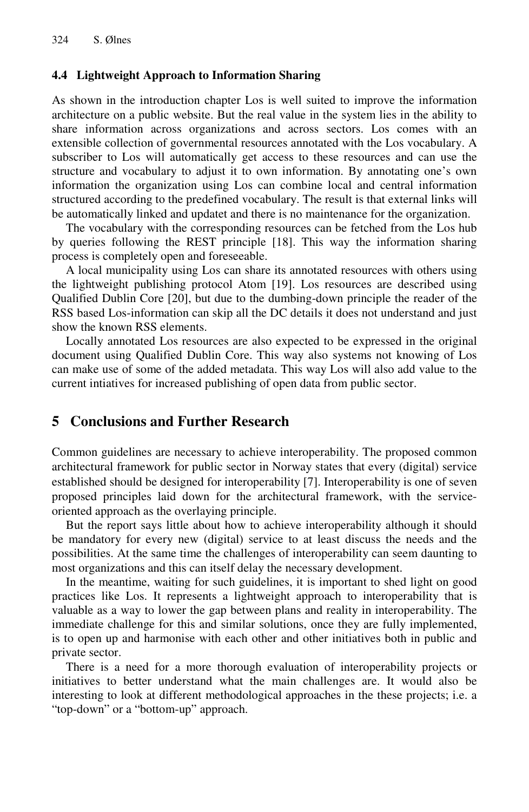#### **4.4 Lightweight Approach to Information Sharing**

As shown in the introduction chapter Los is well suited to improve the information architecture on a public website. But the real value in the system lies in the ability to share information across organizations and across sectors. Los comes with an extensible collection of governmental resources annotated with the Los vocabulary. A subscriber to Los will automatically get access to these resources and can use the structure and vocabulary to adjust it to own information. By annotating one's own information the organization using Los can combine local and central information structured according to the predefined vocabulary. The result is that external links will be automatically linked and updatet and there is no maintenance for the organization.

The vocabulary with the corresponding resources can be fetched from the Los hub by queries following the REST principle [18]. This way the information sharing process is completely open and foreseeable.

A local municipality using Los can share its annotated resources with others using the lightweight publishing protocol Atom [19]. Los resources are described using Qualified Dublin Core [20], but due to the dumbing-down principle the reader of the RSS based Los-information can skip all the DC details it does not understand and just show the known RSS elements.

Locally annotated Los resources are also expected to be expressed in the original document using Qualified Dublin Core. This way also systems not knowing of Los can make use of some of the added metadata. This way Los will also add value to the current intiatives for increased publishing of open data from public sector.

### **5 Conclusions and Further Research**

Common guidelines are necessary to achieve interoperability. The proposed common architectural framework for public sector in Norway states that every (digital) service established should be designed for interoperability [7]. Interoperability is one of seven proposed principles laid down for the architectural framework, with the serviceoriented approach as the overlaying principle.

But the report says little about how to achieve interoperability although it should be mandatory for every new (digital) service to at least discuss the needs and the possibilities. At the same time the challenges of interoperability can seem daunting to most organizations and this can itself delay the necessary development.

In the meantime, waiting for such guidelines, it is important to shed light on good practices like Los. It represents a lightweight approach to interoperability that is valuable as a way to lower the gap between plans and reality in interoperability. The immediate challenge for this and similar solutions, once they are fully implemented, is to open up and harmonise with each other and other initiatives both in public and private sector.

There is a need for a more thorough evaluation of interoperability projects or initiatives to better understand what the main challenges are. It would also be interesting to look at different methodological approaches in the these projects; i.e. a "top-down" or a "bottom-up" approach.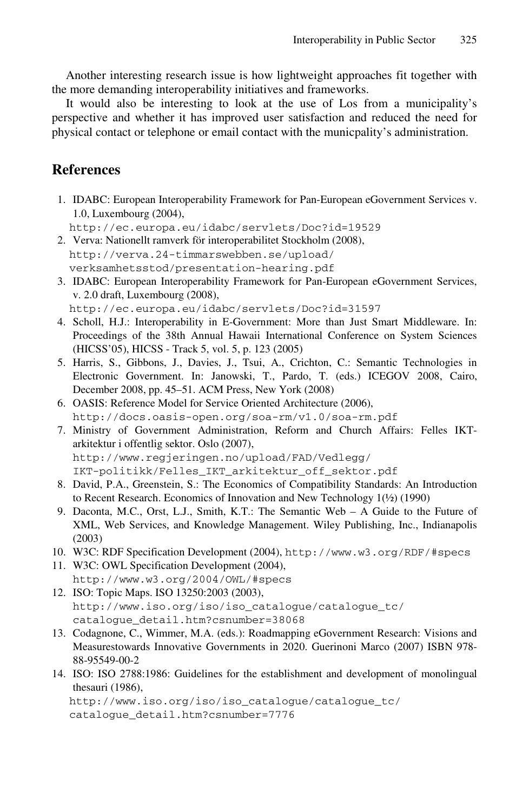Another interesting research issue is how lightweight approaches fit together with the more demanding interoperability initiatives and frameworks.

It would also be interesting to look at the use of Los from a municipality's perspective and whether it has improved user satisfaction and reduced the need for physical contact or telephone or email contact with the municpality's administration.

### **References**

1. IDABC: European Interoperability Framework for Pan-European eGovernment Services v. 1.0, Luxembourg (2004),

http://ec.europa.eu/idabc/servlets/Doc?id=19529

- 2. Verva: Nationellt ramverk för interoperabilitet Stockholm (2008), http://verva.24-timmarswebben.se/upload/ verksamhetsstod/presentation-hearing.pdf
- 3. IDABC: European Interoperability Framework for Pan-European eGovernment Services, v. 2.0 draft, Luxembourg (2008), http://ec.europa.eu/idabc/servlets/Doc?id=31597
- 4. Scholl, H.J.: Interoperability in E-Government: More than Just Smart Middleware. In: Proceedings of the 38th Annual Hawaii International Conference on System Sciences (HICSS'05), HICSS - Track 5, vol. 5, p. 123 (2005)
- 5. Harris, S., Gibbons, J., Davies, J., Tsui, A., Crichton, C.: Semantic Technologies in Electronic Government. In: Janowski, T., Pardo, T. (eds.) ICEGOV 2008, Cairo, December 2008, pp. 45–51. ACM Press, New York (2008)
- 6. OASIS: Reference Model for Service Oriented Architecture (2006), http://docs.oasis-open.org/soa-rm/v1.0/soa-rm.pdf
- 7. Ministry of Government Administration, Reform and Church Affairs: Felles IKTarkitektur i offentlig sektor. Oslo (2007), http://www.regjeringen.no/upload/FAD/Vedlegg/

IKT-politikk/Felles\_IKT\_arkitektur\_off\_sektor.pdf

- 8. David, P.A., Greenstein, S.: The Economics of Compatibility Standards: An Introduction to Recent Research. Economics of Innovation and New Technology 1(½) (1990)
- 9. Daconta, M.C., Orst, L.J., Smith, K.T.: The Semantic Web A Guide to the Future of XML, Web Services, and Knowledge Management. Wiley Publishing, Inc., Indianapolis (2003)
- 10. W3C: RDF Specification Development (2004), http://www.w3.org/RDF/#specs
- 11. W3C: OWL Specification Development (2004), http://www.w3.org/2004/OWL/#specs
- 12. ISO: Topic Maps. ISO 13250:2003 (2003), http://www.iso.org/iso/iso\_catalogue/catalogue\_tc/ catalogue\_detail.htm?csnumber=38068
- 13. Codagnone, C., Wimmer, M.A. (eds.): Roadmapping eGovernment Research: Visions and Measurestowards Innovative Governments in 2020. Guerinoni Marco (2007) ISBN 978- 88-95549-00-2
- 14. ISO: ISO 2788:1986: Guidelines for the establishment and development of monolingual thesauri (1986),

http://www.iso.org/iso/iso\_catalogue/catalogue\_tc/ catalogue\_detail.htm?csnumber=7776